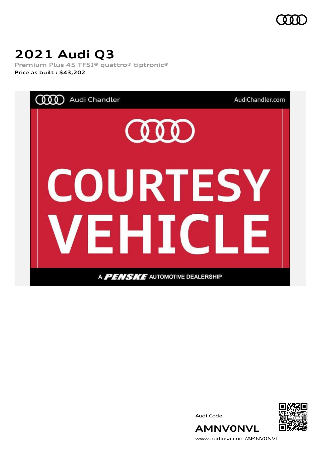

# **2021 Audi Q3**

**Premium Plus 45 TFSI® quattro® tiptronic® Price as built [:](#page-10-0) \$43,202**



Audi Code



[www.audiusa.com/AMNV0NVL](https://www.audiusa.com/AMNV0NVL)

**AMNV0NVL**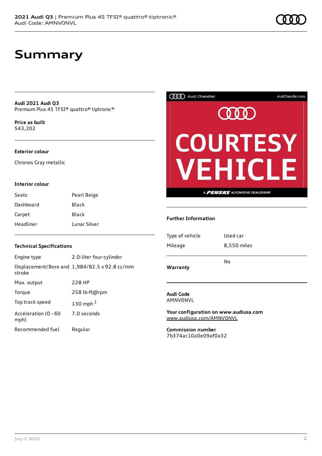### **Summary**

**Audi 2021 Audi Q3** Premium Plus 45 TFSI® quattro® tiptronic®

**Price as buil[t](#page-10-0)** \$43,202

#### **Exterior colour**

Chronos Gray metallic

#### **Interior colour**

| Seats     | Pearl Beige  |
|-----------|--------------|
| Dashboard | Black        |
| Carpet    | Black        |
| Headliner | Lunar Silver |

### **Technical Specifications**

| Engine type                  | 2.0-liter four-cylinder                       |
|------------------------------|-----------------------------------------------|
| stroke                       | Displacement/Bore and 1,984/82.5 x 92.8 cc/mm |
| Max. output                  | 228 HP                                        |
| Torque                       | 258 lb-ft@rpm                                 |
| Top track speed              | 130 mph $1$                                   |
| Acceleration (0 - 60<br>mph) | 7.0 seconds                                   |
| Recommended fuel             | Regular                                       |



#### **Further Information**

| Warranty        | No          |
|-----------------|-------------|
| Mileage         | 8,550 miles |
| Type of vehicle | Used car    |
|                 |             |

**Audi Code** AMNV0NVL

**Your configuration on www.audiusa.com** [www.audiusa.com/AMNV0NVL](https://www.audiusa.com/AMNV0NVL)

**Commission number** 7b374ac10a0e09af0a32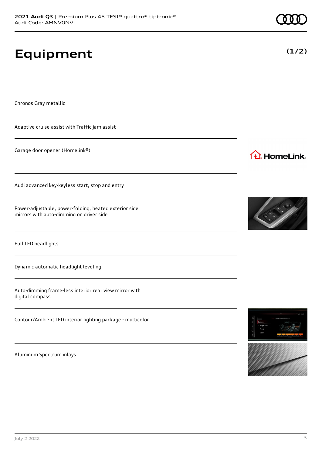# **Equipment**

Chronos Gray metallic

Adaptive cruise assist with Traffic jam assist

Garage door opener (Homelink®)

Audi advanced key-keyless start, stop and entry

Power-adjustable, power-folding, heated exterior side mirrors with auto-dimming on driver side

Full LED headlights

Dynamic automatic headlight leveling

Auto-dimming frame-less interior rear view mirror with digital compass

Contour/Ambient LED interior lighting package - multicolor

Aluminum Spectrum inlays



1<sup>1</sup> HomeLink.



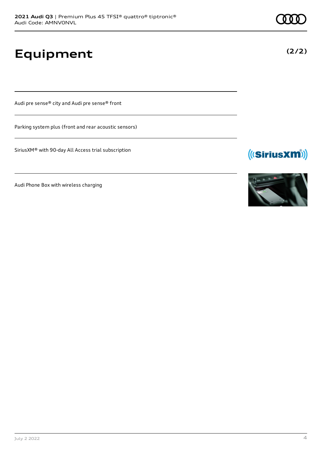**Equipment**

Audi pre sense® city and Audi pre sense® front

Parking system plus (front and rear acoustic sensors)

SiriusXM® with 90-day All Access trial subscription

Audi Phone Box with wireless charging



(((SiriusXM))

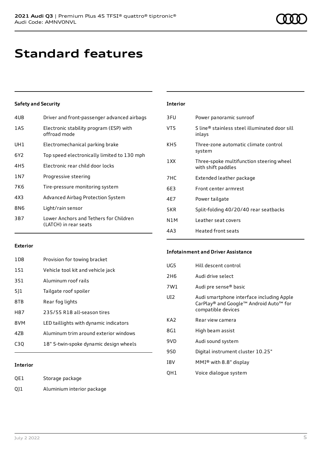### **Standard features**

### **Safety and Security**

| 4UB   | Driver and front-passenger advanced airbags                     |
|-------|-----------------------------------------------------------------|
| 1AS   | Electronic stability program (ESP) with<br>offroad mode         |
| UH1   | Electromechanical parking brake                                 |
| 6Y2   | Top speed electronically limited to 130 mph                     |
| 4H5   | Electronic rear child door locks                                |
| 1 N 7 | Progressive steering                                            |
| 7K6   | Tire-pressure monitoring system                                 |
| 4X3   | Advanced Airbag Protection System                               |
| 8N6   | Light/rain sensor                                               |
| 3B7   | Lower Anchors and Tethers for Children<br>(LATCH) in rear seats |
|       |                                                                 |

### **Interior**

| 3FU             | Power panoramic sunroof                                        |
|-----------------|----------------------------------------------------------------|
| VT5             | S line® stainless steel illuminated door sill<br>inlays        |
| KH <sub>5</sub> | Three-zone automatic climate control<br>system                 |
| 1 XX            | Three-spoke multifunction steering wheel<br>with shift paddles |
| 7HC             | Extended leather package                                       |
| 6E3             | Front center armrest                                           |
| 4F7             | Power tailgate                                                 |
| 5KR             | Split-folding 40/20/40 rear seatbacks                          |
| N1M             | Leather seat covers                                            |
| 4A3             | Heated front seats                                             |

### **Exterior**

| 1D8 | Provision for towing bracket           |
|-----|----------------------------------------|
| 1S1 | Vehicle tool kit and vehicle jack      |
| 3S1 | Aluminum roof rails                    |
| 511 | Tailgate roof spoiler                  |
| 8TB | Rear fog lights                        |
| H87 | 235/55 R18 all-season tires            |
| 8VM | LED taillights with dynamic indicators |
| 47B | Aluminum trim around exterior windows  |
| C30 | 18" 5-twin-spoke dynamic design wheels |

### **Infotainment and Driver Assistance**

| UG5             | Hill descent control                                                                                      |
|-----------------|-----------------------------------------------------------------------------------------------------------|
| 2H <sub>6</sub> | Audi drive select                                                                                         |
| 7W1             | Audi pre sense <sup>®</sup> basic                                                                         |
| UD <sub>2</sub> | Audi smartphone interface including Apple<br>CarPlay® and Google™ Android Auto™ for<br>compatible devices |
| KA2             | Rear view camera                                                                                          |
| 8G1             | High beam assist                                                                                          |
| 9VD             | Audi sound system                                                                                         |
| 9S0             | Digital instrument cluster 10.25"                                                                         |
| I8V             | MMI® with 8.8" display                                                                                    |
| QH1             | Voice dialogue system                                                                                     |
|                 |                                                                                                           |

### **Interior**

QE1 Storage package

QJ1 Aluminium interior package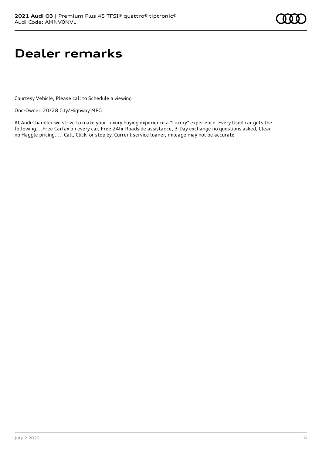### **Dealer remarks**

Courtesy Vehicle, Please call to Schedule a viewing

One-Owner. 20/28 City/Highway MPG

At Audi Chandler we strive to make your Luxury buying experience a "Luxury" experience. Every Used car gets the following....Free Carfax on every car, Free 24hr Roadside assistance, 3-Day exchange no questions asked, Clear no Haggle pricing..... Call, Click, or stop by. Current service loaner, mileage may not be accurate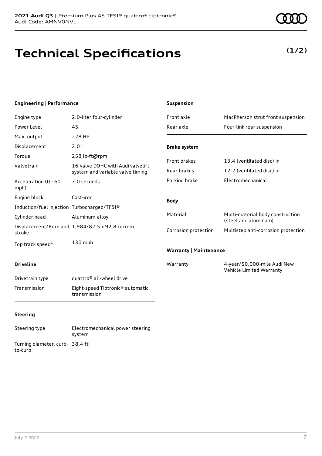### **Technical Specifications**

#### **Engineering | Performance**

| Engine type                                 | 2.0-liter four-cylinder                                               |
|---------------------------------------------|-----------------------------------------------------------------------|
| Power Level                                 | 45                                                                    |
| Max. output                                 | 228 HP                                                                |
| Displacement                                | 2.0 L                                                                 |
| Torque                                      | 258 lb-ft@rpm                                                         |
| Valvetrain                                  | 16-valve DOHC with Audi valvelift<br>system and variable valve timing |
| Acceleration (0 - 60<br>mph)                | 7.0 seconds                                                           |
| Engine block                                | Cast-iron                                                             |
| Induction/fuel injection Turbocharged/TFSI® |                                                                       |
| Cylinder head                               | Aluminum-alloy                                                        |
| stroke                                      | Displacement/Bore and 1,984/82.5 x 92.8 cc/mm                         |
| Top track speed <sup>1</sup>                | $130$ mph                                                             |

| <b>Suspension</b>             |                                                          |
|-------------------------------|----------------------------------------------------------|
| Front axle                    | MacPherson strut front suspension                        |
| Rear axle                     | Four-link rear suspension                                |
| <b>Brake system</b>           |                                                          |
| <b>Front brakes</b>           | 13.4 (ventilated disc) in                                |
| Rear brakes                   | 12.2 (ventilated disc) in                                |
| Parking brake                 | Electromechanical                                        |
| <b>Body</b>                   |                                                          |
| Material                      | Multi-material body construction<br>(steel and aluminum) |
| Corrosion protection          | Multistep anti-corrosion protection                      |
| <b>Warranty   Maintenance</b> |                                                          |
| Warranty                      | 4-year/50,000-mile Audi New                              |

Vehicle Limited Warranty

#### **Driveline**

| Drivetrain type | quattro <sup>®</sup> all-wheel drive                         |
|-----------------|--------------------------------------------------------------|
| Transmission    | Eight-speed Tiptronic <sup>®</sup> automatic<br>transmission |

### **Steering**

Steering type Electromechanical power steering system Turning diameter, curb-38.4 ft to-curb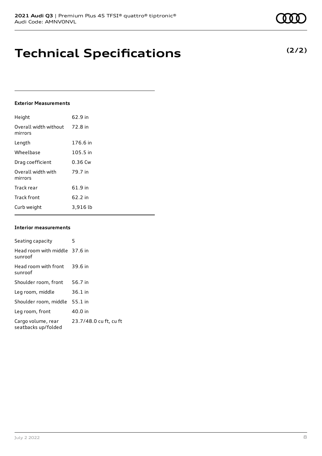### **Technical Specifications**

#### **Exterior Measurements**

| Height                           | 62.9 in  |
|----------------------------------|----------|
| Overall width without<br>mirrors | 72.8 in  |
| Length                           | 176.6 in |
| Wheelbase                        | 105.5 in |
| Drag coefficient                 | 0.36 Cw  |
| Overall width with<br>mirrors    | 79.7 in  |
| Track rear                       | 61.9 in  |
| <b>Track front</b>               | 62.2 in  |
| Curb weight                      | 3,916 lb |

#### **Interior measurements**

| Seating capacity                          | 5                      |
|-------------------------------------------|------------------------|
| Head room with middle 37.6 in<br>sunroof  |                        |
| Head room with front<br>sunroof           | 39.6 in                |
| Shoulder room, front                      | 56.7 in                |
| Leg room, middle                          | $36.1$ in              |
| Shoulder room, middle                     | $55.1$ in              |
| Leg room, front                           | 40.0 in                |
| Cargo volume, rear<br>seatbacks up/folded | 23.7/48.0 cu ft, cu ft |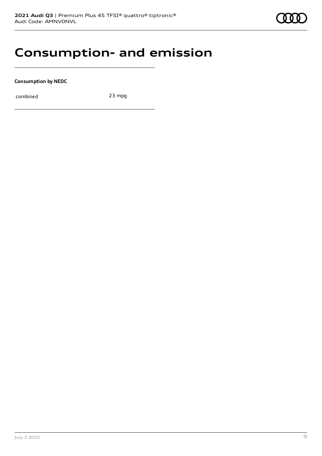### **Consumption- and emission**

**Consumption by NEDC**

combined 23 mpg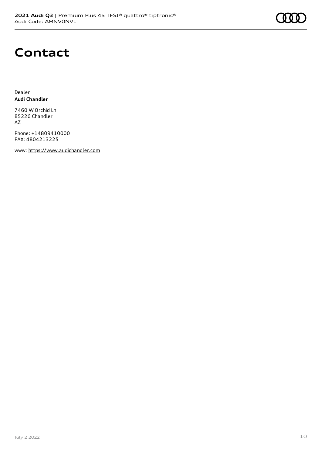

### **Contact**

Dealer **Audi Chandler**

7460 W Orchid Ln 85226 Chandler AZ

Phone: +14809410000 FAX: 4804213225

www: [https://www.audichandler.com](https://www.audichandler.com/)